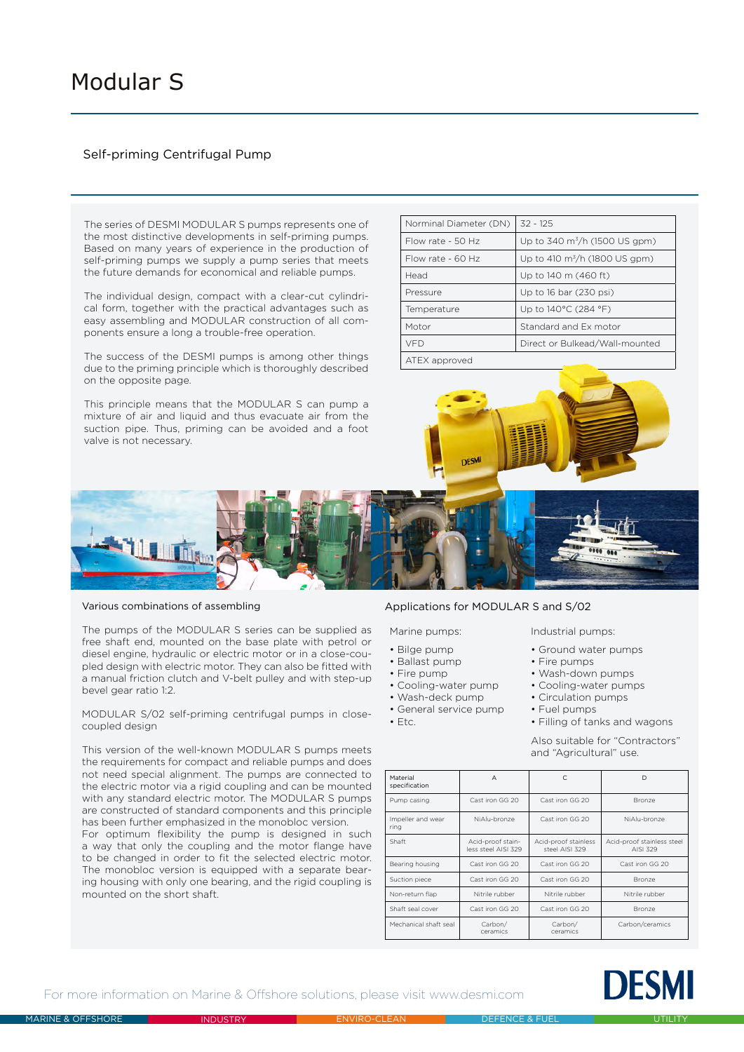# Self-priming Centrifugal Pump

The series of DESMI MODULAR S pumps represents one of the most distinctive developments in self-priming pumps. Based on many years of experience in the production of self-priming pumps we supply a pump series that meets the future demands for economical and reliable pumps.

The individual design, compact with a clear-cut cylindrical form, together with the practical advantages such as easy assembling and MODULAR construction of all components ensure a long a trouble-free operation.

The success of the DESMI pumps is among other things due to the priming principle which is thoroughly described on the opposite page.

This principle means that the MODULAR S can pump a mixture of air and liquid and thus evacuate air from the

| Norminal Diameter (DN) | $32 - 125$                          |  |
|------------------------|-------------------------------------|--|
| Flow rate - 50 Hz      | Up to 340 $\rm m^3/h$ (1500 US gpm) |  |
| Flow rate - $60$ Hz    | Up to 410 $\rm m^3/h$ (1800 US gpm) |  |
| Head                   | Up to 140 m (460 ft)                |  |
| Pressure               | Up to 16 bar (230 psi)              |  |
| Temperature            | Up to 140°C (284 °F)                |  |
| Motor                  | Standard and Ex motor               |  |
| VFD                    | Direct or Bulkead/Wall-mounted      |  |
|                        |                                     |  |

ATEX approved



#### Various combinations of assembling

The pumps of the MODULAR S series can be supplied as free shaft end, mounted on the base plate with petrol or diesel engine, hydraulic or electric motor or in a close-coupled design with electric motor. They can also be fitted with a manual friction clutch and V-belt pulley and with step-up bevel gear ratio 1:2.

MODULAR S/02 self-priming centrifugal pumps in closecoupled design

This version of the well-known MODULAR S pumps meets the requirements for compact and reliable pumps and does not need special alignment. The pumps are connected to the electric motor via a rigid coupling and can be mounted with any standard electric motor. The MODULAR S pumps are constructed of standard components and this principle has been further emphasized in the monobloc version.

For optimum flexibility the pump is designed in such a way that only the coupling and the motor flange have to be changed in order to fit the selected electric motor. The monobloc version is equipped with a separate bearing housing with only one bearing, and the rigid coupling is mounted on the short shaft.

## Applications for MODULAR S and S/02

- Bilge pump
- Ballast pump
- Fire pump
- Cooling-water pump
- Wash-deck pump
- General service pump
- $\cdot$  Etc.

• Filling of tanks and wagons Also suitable for "Contractors" and "Agricultural" use.

| Material<br>specification | A                                        | C                                      | D                                      |
|---------------------------|------------------------------------------|----------------------------------------|----------------------------------------|
| Pump casing               | Cast iron GG 20                          | Cast iron GG 20                        | Bronze                                 |
| Impeller and wear<br>ring | NiAlu-bronze                             | Cast iron GG 20                        | NiAlu-bronze                           |
| Shaft                     | Acid-proof stain-<br>less steel AISI 329 | Acid-proof stainless<br>steel AISI 329 | Acid-proof stainless steel<br>AISI 329 |
| Bearing housing           | Cast iron GG 20                          | Cast iron GG 20                        | Cast iron GG 20                        |
| Suction piece             | Cast iron GG 20                          | Cast iron GG 20                        | Bronze                                 |
| Non-return flap           | Nitrile rubber                           | Nitrile rubber                         | Nitrile rubber                         |
| Shaft seal cover          | Cast iron GG 20                          | Cast iron GG 20                        | Bronze                                 |
| Mechanical shaft seal     | Carbon/<br>ceramics                      | Carbon/<br>ceramics                    | Carbon/ceramics                        |



For more information on Marine & Offshore solutions, please visit www.desmi.com



• Fire pumps • Wash-down pumps • Cooling-water pumps • Circulation pumps • Fuel pumps

• Ground water pumps